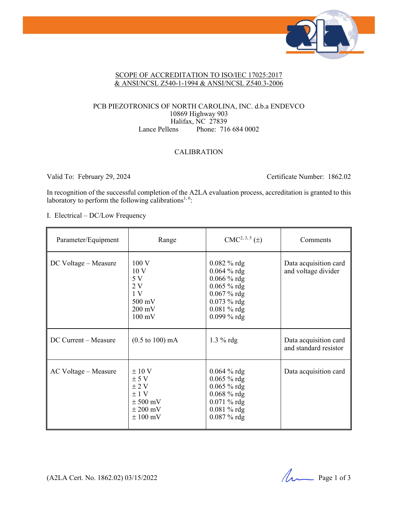

#### SCOPE OF ACCREDITATION TO ISO/IEC 17025:2017 & ANSI/NCSL Z540-1-1994 & ANSI/NCSL Z540.3-2006

#### PCB PIEZOTRONICS OF NORTH CAROLINA, INC. d.b.a ENDEVCO 10869 Highway 903 Halifax, NC 27839 Lance Pellens Phone: 716 684 0002

#### CALIBRATION

Valid To: February 29, 2024 Certificate Number: 1862.02

In recognition of the successful completion of the A2LA evaluation process, accreditation is granted to this laboratory to perform the following calibrations<sup>1, 6</sup>:

I. Electrical – DC/Low Frequency

| Parameter/Equipment  | Range                                                                                                   | $CMC2, 3, 5(\pm)$                                                                                                                            | Comments                                       |
|----------------------|---------------------------------------------------------------------------------------------------------|----------------------------------------------------------------------------------------------------------------------------------------------|------------------------------------------------|
| DC Voltage – Measure | 100V<br>10 <sub>V</sub><br>5V<br>2V<br>1 <sub>V</sub><br>500 mV<br>$200 \text{ mV}$<br>$100 \text{ mV}$ | $0.082 \%$ rdg<br>$0.064 \%$ rdg<br>$0.066 \%$ rdg<br>$0.065 \%$ rdg<br>$0.067 \%$ rdg<br>$0.073 \%$ rdg<br>$0.081 \%$ rdg<br>$0.099 \%$ rdg | Data acquisition card<br>and voltage divider   |
| DC Current – Measure | $(0.5 \text{ to } 100) \text{ mA}$                                                                      | $1.3\%$ rdg                                                                                                                                  | Data acquisition card<br>and standard resistor |
| AC Voltage – Measure | $\pm 10$ V<br>± 5 V<br>$\pm$ 2 V<br>±1 V<br>$\pm$ 500 mV<br>$\pm 200$ mV<br>$\pm 100$ mV                | $0.064\%$ rdg<br>$0.065 \%$ rdg<br>$0.065 \%$ rdg<br>$0.068 \%$ rdg<br>$0.071 \%$ rdg<br>$0.081 \%$ rdg<br>$0.087 \%$ rdg                    | Data acquisition card                          |

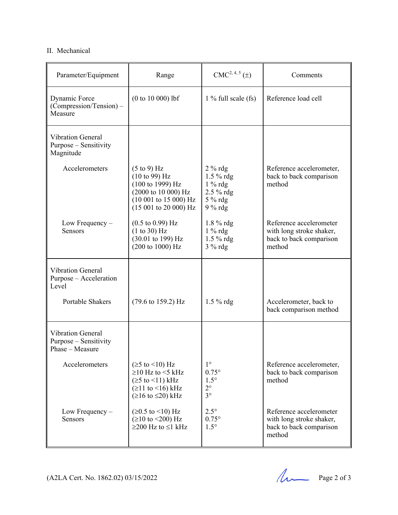#### II. Mechanical

| Parameter/Equipment                                            | Range                                                                                                                                                                     | $CMC2, 4, 5(\pm)$                                                      | Comments                                                                                 |
|----------------------------------------------------------------|---------------------------------------------------------------------------------------------------------------------------------------------------------------------------|------------------------------------------------------------------------|------------------------------------------------------------------------------------------|
| Dynamic Force<br>(Compression/Tension) –<br>Measure            | $(0 to 10 000)$ lbf                                                                                                                                                       | $1\%$ full scale (fs)                                                  | Reference load cell                                                                      |
| <b>Vibration General</b><br>Purpose – Sensitivity<br>Magnitude |                                                                                                                                                                           |                                                                        |                                                                                          |
| Accelerometers                                                 | $(5 \text{ to } 9)$ Hz<br>(10 to 99) Hz<br>(100 to 1999) Hz<br>(2000 to 10 000) Hz<br>$(10001$ to 15 000) Hz<br>$(15001$ to 20 000) Hz                                    | $2%$ rdg<br>1.5 % rdg<br>$1\%$ rdg<br>2.5 % rdg<br>5 % rdg<br>$9%$ rdg | Reference accelerometer,<br>back to back comparison<br>method                            |
| Low Frequency $-$<br>Sensors                                   | $(0.5 \text{ to } 0.99) \text{ Hz}$<br>(1 to 30) Hz<br>(30.01 to 199) Hz<br>(200 to 1000) Hz                                                                              | 1.8 % rdg<br>$1\%$ rdg<br>1.5 % rdg<br>$3%$ rdg                        | Reference accelerometer<br>with long stroke shaker,<br>back to back comparison<br>method |
| <b>Vibration General</b><br>Purpose - Acceleration<br>Level    |                                                                                                                                                                           |                                                                        |                                                                                          |
| Portable Shakers                                               | $(79.6 \text{ to } 159.2) \text{ Hz}$                                                                                                                                     | $1.5\%$ rdg                                                            | Accelerometer, back to<br>back comparison method                                         |
| Vibration General<br>Purpose – Sensitivity<br>Phase - Measure  |                                                                                                                                                                           |                                                                        |                                                                                          |
| Accelerometers                                                 | $(25 \text{ to } 10) \text{ Hz}$<br>$\geq$ 10 Hz to <5 kHz<br>$(\geq 5$ to $\leq 11)$ kHz<br>$( \geq 11$ to $\leq 16)$ kHz<br>$(\geq 16 \text{ to } \leq 20) \text{ kHz}$ | $1^{\circ}$<br>$0.75^\circ$<br>$1.5^\circ$<br>$2^{\circ}$<br>$3^\circ$ | Reference accelerometer,<br>back to back comparison<br>method                            |
| Low Frequency-<br>Sensors                                      | (≥0.5 to <10) Hz<br>$( \geq 10 \text{ to} < 200 ) \text{ Hz}$<br>$≥200$ Hz to $≤1$ kHz                                                                                    | $2.5^\circ$<br>$0.75^{\circ}$<br>$1.5^\circ$                           | Reference accelerometer<br>with long stroke shaker,<br>back to back comparison<br>method |

(A2LA Cert. No. 1862.02) 03/15/2022 Page 2 of 3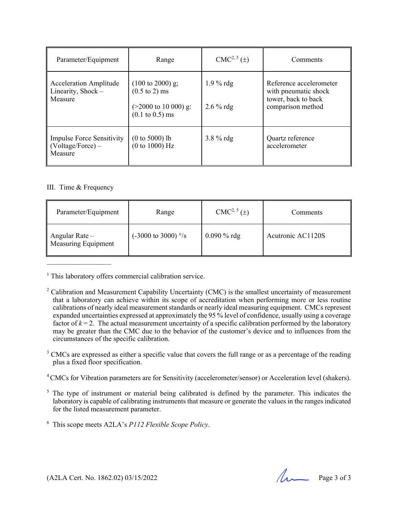| Parameter/Equipment                                                      | Range                                                                                                                            | $CMC2, 5(\pm)$             | Comments                                                                                    |
|--------------------------------------------------------------------------|----------------------------------------------------------------------------------------------------------------------------------|----------------------------|---------------------------------------------------------------------------------------------|
| <b>Acceleration Amplitude</b><br>Linearity, Shock -<br>Measure           | $(100 \text{ to } 2000)$ g;<br>$(0.5 \text{ to } 2) \text{ ms}$<br>$($ >2000 to 10 000) g:<br>$(0.1 \text{ to } 0.5) \text{ ms}$ | $1.9\%$ rdg<br>$2.6\%$ rdg | Reference accelerometer<br>with pneumatic shock<br>tower, back to back<br>comparison method |
| <b>Impulse Force Sensitivity</b><br>$\vert$ (Voltage/Force) –<br>Measure | $(0 to 5000)$ lb<br>(0 to 1000) Hz                                                                                               | $3.8\%$ rdg                | Quartz reference<br>accelerometer                                                           |

#### III. Time & Frequency

| Parameter/Equipment                          | Range                                   | $CMC2, 5(\pm)$ | Comments          |
|----------------------------------------------|-----------------------------------------|----------------|-------------------|
| Angular Rate -<br><b>Measuring Equipment</b> | $(-3000 \text{ to } 3000)$ $\degree$ /s | $0.090 \%$ rdg | Acutronic AC1120S |

<sup>1</sup> This laboratory offers commercial calibration service.

 $3$  CMCs are expressed as either a specific value that covers the full range or as a percentage of the reading plus a fixed floor specification.

<sup>4</sup> CMCs for Vibration parameters are for Sensitivity (accelerometer/sensor) or Acceleration level (shakers).

- $<sup>5</sup>$  The type of instrument or material being calibrated is defined by the parameter. This indicates the</sup> laboratory is capable of calibrating instruments that measure or generate the values in the ranges indicated for the listed measurement parameter.
- 6 This scope meets A2LA's *P112 Flexible Scope Policy*.

<sup>&</sup>lt;sup>2</sup> Calibration and Measurement Capability Uncertainty (CMC) is the smallest uncertainty of measurement that a laboratory can achieve within its scope of accreditation when performing more or less routine calibrations of nearly ideal measurement standards or nearly ideal measuring equipment. CMCs represent expanded uncertainties expressed at approximately the 95 % level of confidence, usually using a coverage factor of  $k = 2$ . The actual measurement uncertainty of a specific calibration performed by the laboratory may be greater than the CMC due to the behavior of the customer's device and to influences from the circumstances of the specific calibration.